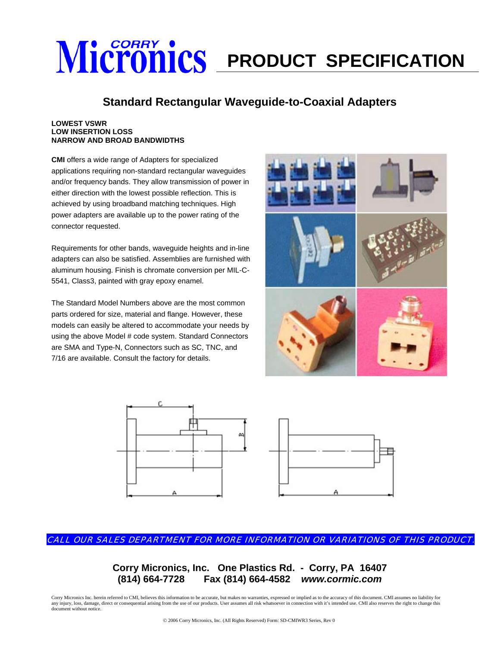### **Standard Rectangular Waveguide-to-Coaxial Adapters**

#### **LOWEST VSWR LOW INSERTION LOSS NARROW AND BROAD BANDWIDTHS**

**CMI** offers a wide range of Adapters for specialized applications requiring non-standard rectangular waveguides and/or frequency bands. They allow transmission of power in either direction with the lowest possible reflection. This is achieved by using broadband matching techniques. High power adapters are available up to the power rating of the connector requested.

Requirements for other bands, waveguide heights and in-line adapters can also be satisfied. Assemblies are furnished with aluminum housing. Finish is chromate conversion per MIL-C-5541, Class3, painted with gray epoxy enamel.

The Standard Model Numbers above are the most common parts ordered for size, material and flange. However, these models can easily be altered to accommodate your needs by using the above Model # code system. Standard Connectors are SMA and Type-N, Connectors such as SC, TNC, and 7/16 are available. Consult the factory for details.







CALL OUR SALES DEPARTMENT FOR MORE INFORMATION OR VARIATIONS OF THIS PRODUCT.

**Corry Micronics, Inc. One Plastics Rd. - Corry, PA 16407 (814) 664-7728 Fax (814) 664-4582** *www.cormic.com*

Corry Micronics Inc. herein referred to CMI, believes this information to be accurate, but makes no warranties, expressed or implied as to the accuracy of this document. CMI assumes no liability for any injury, loss, damage, direct or consequential arising from the use of our products. User assumes all risk whatsoever in connection with it's intended use. CMI also reserves the right to change this document without notice.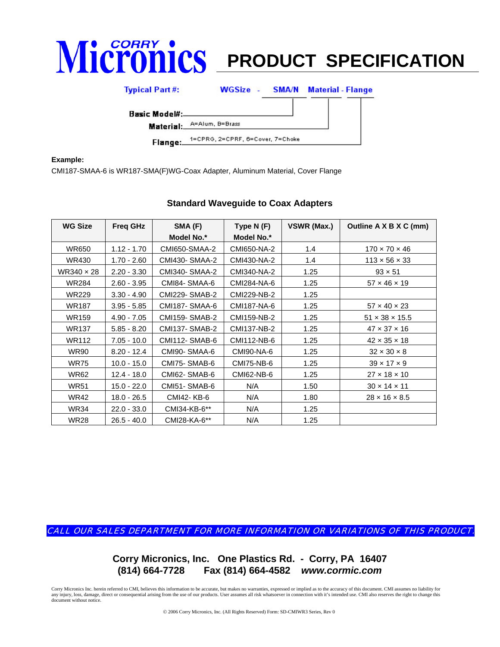| <b>Typical Part#:</b> | WGSize                                   | <b>SMA/N</b> Material - Flange |
|-----------------------|------------------------------------------|--------------------------------|
| Basic Model#:_______  |                                          |                                |
| Material:             | A=Alum, B=Brass                          |                                |
|                       | Flange: 1=CPRG, 2=CPRF, 6=Cover, 7=Choke |                                |

#### **Example:**

CMI187-SMAA-6 is WR187-SMA(F)WG-Coax Adapter, Aluminum Material, Cover Flange

### **Standard Waveguide to Coax Adapters**

| <b>WG Size</b> | <b>Freq GHz</b> | SMA (F)               | Type N (F)        | VSWR (Max.) | Outline A X B X C (mm)     |
|----------------|-----------------|-----------------------|-------------------|-------------|----------------------------|
|                |                 | Model No.*            | <b>Model No.*</b> |             |                            |
| <b>WR650</b>   | $1.12 - 1.70$   | CMI650-SMAA-2         | CMI650-NA-2       | 1.4         | $170 \times 70 \times 46$  |
| WR430          | $1.70 - 2.60$   | CMI430- SMAA-2        | CMI430-NA-2       | 1.4         | $113 \times 56 \times 33$  |
| WR340 × 28     | $2.20 - 3.30$   | <b>CMI340- SMAA-2</b> | CMI340-NA-2       | 1.25        | $93 \times 51$             |
| <b>WR284</b>   | $2.60 - 3.95$   | CMI84-SMAA-6          | CMI284-NA-6       | 1.25        | $57 \times 46 \times 19$   |
| <b>WR229</b>   | $3.30 - 4.90$   | CMI229- SMAB-2        | CMI229-NB-2       | 1.25        |                            |
| <b>WR187</b>   | $3.95 - 5.85$   | CMI187- SMAA-6        | CMI187-NA-6       | 1.25        | $57 \times 40 \times 23$   |
| <b>WR159</b>   | $4.90 - 7.05$   | CMI159- SMAB-2        | CMI159-NB-2       | 1.25        | $51 \times 38 \times 15.5$ |
| <b>WR137</b>   | $5.85 - 8.20$   | <b>CMI137- SMAB-2</b> | CMI137-NB-2       | 1.25        | $47 \times 37 \times 16$   |
| <b>WR112</b>   | $7.05 - 10.0$   | CMI112- SMAB-6        | CMI112-NB-6       | 1.25        | $42 \times 35 \times 18$   |
| <b>WR90</b>    | $8.20 - 12.4$   | CMI90-SMAA-6          | CMI90-NA-6        | 1.25        | $32 \times 30 \times 8$    |
| <b>WR75</b>    | $10.0 - 15.0$   | CMI75-SMAB-6          | <b>CMI75-NB-6</b> | 1.25        | $39 \times 17 \times 9$    |
| <b>WR62</b>    | $12.4 - 18.0$   | CMI62-SMAB-6          | <b>CMI62-NB-6</b> | 1.25        | $27 \times 18 \times 10$   |
| <b>WR51</b>    | $15.0 - 22.0$   | CMI51- SMAB-6         | N/A               | 1.50        | $30 \times 14 \times 11$   |
| <b>WR42</b>    | $18.0 - 26.5$   | CMI42-KB-6            | N/A               | 1.80        | $28 \times 16 \times 8.5$  |
| <b>WR34</b>    | $22.0 - 33.0$   | CMI34-KB-6**          | N/A               | 1.25        |                            |
| <b>WR28</b>    | $26.5 - 40.0$   | CMI28-KA-6**          | N/A               | 1.25        |                            |

CALL OUR SALES DEPARTMENT FOR MORE INFORMATION OR VARIATIONS OF THIS PRODUCT.

**Corry Micronics, Inc. One Plastics Rd. - Corry, PA 16407 (814) 664-7728 Fax (814) 664-4582** *www.cormic.com*

Corry Micronics Inc. herein referred to CMI, believes this information to be accurate, but makes no warranties, expressed or implied as to the accuracy of this document. CMI assumes no liability for any injury, loss, damage, direct or consequential arising from the use of our products. User assumes all risk whatsoever in connection with it's intended use. CMI also reserves the right to change this document without not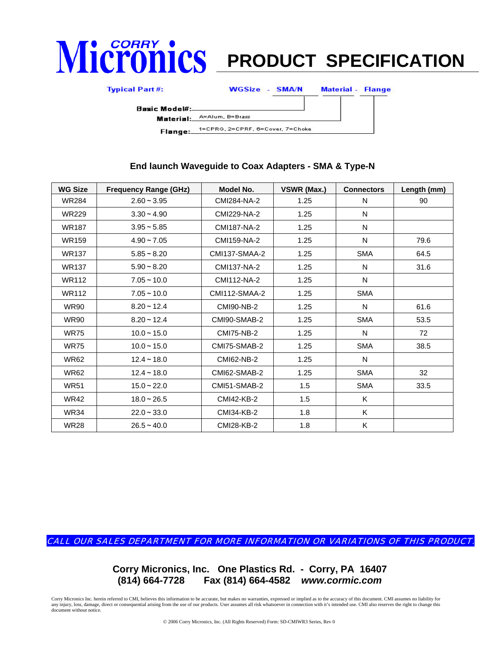| <b>Typical Part#:</b>     | WGSize - SMA/N                           | <b>Material - Flange</b> |  |
|---------------------------|------------------------------------------|--------------------------|--|
| Basic Model#:____________ |                                          |                          |  |
|                           | Material: A=Alum, B=Brass                |                          |  |
|                           | Flange: 1=CPRG, 2=CPRF, 6=Cover, 7=Choke |                          |  |

### **End launch Waveguide to Coax Adapters - SMA & Type-N**

| <b>WG Size</b> | <b>Frequency Range (GHz)</b> | Model No.         | VSWR (Max.) | <b>Connectors</b> | Length (mm) |
|----------------|------------------------------|-------------------|-------------|-------------------|-------------|
| <b>WR284</b>   | $2.60 - 3.95$                | CMI284-NA-2       | 1.25        | N                 | 90          |
| <b>WR229</b>   | $3.30 - 4.90$                | CMI229-NA-2       | 1.25        | N                 |             |
| <b>WR187</b>   | $3.95 - 5.85$                | CMI187-NA-2       | 1.25        | N                 |             |
| <b>WR159</b>   | $4.90 - 7.05$                | CMI159-NA-2       | 1.25        | N                 | 79.6        |
| <b>WR137</b>   | $5.85 - 8.20$                | CMI137-SMAA-2     | 1.25        | <b>SMA</b>        | 64.5        |
| <b>WR137</b>   | $5.90 - 8.20$                | CMI137-NA-2       | 1.25        | N                 | 31.6        |
| WR112          | $7.05 - 10.0$                | CMI112-NA-2       | 1.25        | N                 |             |
| WR112          | $7.05 - 10.0$                | CMI112-SMAA-2     | 1.25        | <b>SMA</b>        |             |
| <b>WR90</b>    | $8.20 - 12.4$                | <b>CMI90-NB-2</b> | 1.25        | N                 | 61.6        |
| <b>WR90</b>    | $8.20 - 12.4$                | CMI90-SMAB-2      | 1.25        | <b>SMA</b>        | 53.5        |
| <b>WR75</b>    | $10.0 - 15.0$                | <b>CMI75-NB-2</b> | 1.25        | N                 | 72          |
| <b>WR75</b>    | $10.0 - 15.0$                | CMI75-SMAB-2      | 1.25        | <b>SMA</b>        | 38.5        |
| <b>WR62</b>    | $12.4 - 18.0$                | <b>CMI62-NB-2</b> | 1.25        | N                 |             |
| <b>WR62</b>    | $12.4 - 18.0$                | CMI62-SMAB-2      | 1.25        | <b>SMA</b>        | 32          |
| <b>WR51</b>    | $15.0 - 22.0$                | CMI51-SMAB-2      | 1.5         | <b>SMA</b>        | 33.5        |
| <b>WR42</b>    | $18.0 - 26.5$                | CMI42-KB-2        | 1.5         | K                 |             |
| <b>WR34</b>    | $22.0 - 33.0$                | CMI34-KB-2        | 1.8         | Κ                 |             |
| <b>WR28</b>    | $26.5 - 40.0$                | <b>CMI28-KB-2</b> | 1.8         | Κ                 |             |

CALL OUR SALES DEPARTMENT FOR MORE INFORMATION OR VARIATIONS OF THIS PRODUCT.

**Corry Micronics, Inc. One Plastics Rd. - Corry, PA 16407 (814) 664-7728 Fax (814) 664-4582** *www.cormic.com*

Corry Micronics Inc. herein referred to CMI, believes this information to be accurate, but makes no warranties, expressed or implied as to the accuracy of this document. CMI assumes no liability for any injury, loss, damage, direct or consequential arising from the use of our products. User assumes all risk whatsoever in connection with it's intended use. CMI also reserves the right to change this document without not